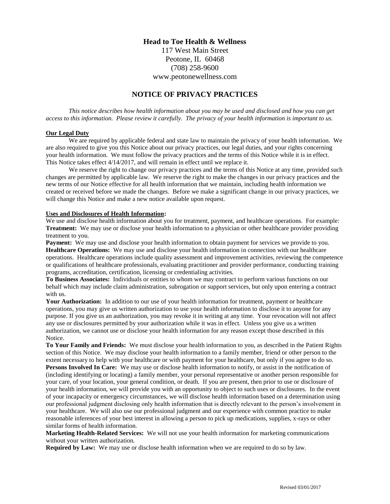# **Head to Toe Health & Wellness** 117 West Main Street Peotone, IL 60468 (708) 258-9600 www.peotonewellness.com

## **NOTICE OF PRIVACY PRACTICES**

*This notice describes how health information about you may be used and disclosed and how you can get access to this information. Please review it carefully. The privacy of your health information is important to us.*

#### **Our Legal Duty**

We are required by applicable federal and state law to maintain the privacy of your health information. We are also required to give you this Notice about our privacy practices, our legal duties, and your rights concerning your health information. We must follow the privacy practices and the terms of this Notice while it is in effect. This Notice takes effect 4/14/2017, and will remain in effect until we replace it.

We reserve the right to change our privacy practices and the terms of this Notice at any time, provided such changes are permitted by applicable law. We reserve the right to make the changes in our privacy practices and the new terms of our Notice effective for all health information that we maintain, including health information we created or received before we made the changes. Before we make a significant change in our privacy practices, we will change this Notice and make a new notice available upon request.

### **Uses and Disclosures of Health Information:**

We use and disclose health information about you for treatment, payment, and healthcare operations. For example: **Treatment:** We may use or disclose your health information to a physician or other healthcare provider providing treatment to you.

**Payment:** We may use and disclose your health information to obtain payment for services we provide to you. **Healthcare Operations:** We may use and disclose your health information in connection with our healthcare operations. Healthcare operations include quality assessment and improvement activities, reviewing the competence or qualifications of healthcare professionals, evaluating practitioner and provider performance, conducting training programs, accreditation, certification, licensing or credentialing activities.

**To Business Associates:** Individuals or entities to whom we may contract to perform various functions on our behalf which may include claim administration, subrogation or support services, but only upon entering a contract with us.

Your Authorization: In addition to our use of your health information for treatment, payment or healthcare operations, you may give us written authorization to use your health information to disclose it to anyone for any purpose. If you give us an authorization, you may revoke it in writing at any time. Your revocation will not affect any use or disclosures permitted by your authorization while it was in effect. Unless you give us a written authorization, we cannot use or disclose your health information for any reason except those described in this Notice.

**To Your Family and Friends:** We must disclose your health information to you, as described in the Patient Rights section of this Notice. We may disclose your health information to a family member, friend or other person to the extent necessary to help with your healthcare or with payment for your healthcare, but only if you agree to do so. **Persons Involved In Care:** We may use or disclose health information to notify, or assist in the notification of

(including identifying or locating) a family member, your personal representative or another person responsible for your care, of your location, your general condition, or death. If you are present, then prior to use or disclosure of your health information, we will provide you with an opportunity to object to such uses or disclosures. In the event of your incapacity or emergency circumstances, we will disclose health information based on a determination using our professional judgment disclosing only health information that is directly relevant to the person's involvement in your healthcare. We will also use our professional judgment and our experience with common practice to make reasonable inferences of your best interest in allowing a person to pick up medications, supplies, x-rays or other similar forms of health information.

**Marketing Health-Related Services:** We will not use your health information for marketing communications without your written authorization.

**Required by Law:** We may use or disclose health information when we are required to do so by law.